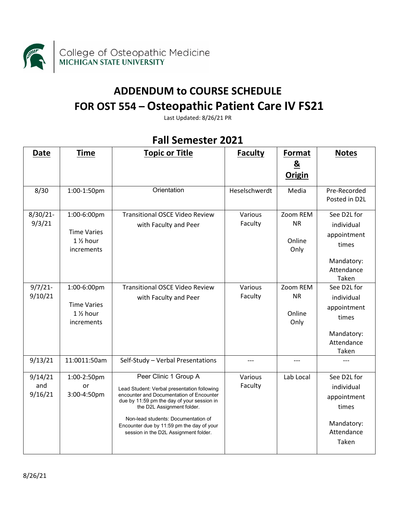

## **ADDENDUM to COURSE SCHEDULE FOR OST 554 – Osteopathic Patient Care IV FS21**

Last Updated: 8/26/21 PR

| Date                      | <b>Time</b>                                                            | <b>Topic or Title</b>                                                                                                                                                                                                                                                                                                     | <b>Faculty</b>     | Format                                  | <b>Notes</b>                                                                           |
|---------------------------|------------------------------------------------------------------------|---------------------------------------------------------------------------------------------------------------------------------------------------------------------------------------------------------------------------------------------------------------------------------------------------------------------------|--------------------|-----------------------------------------|----------------------------------------------------------------------------------------|
|                           |                                                                        |                                                                                                                                                                                                                                                                                                                           |                    | $\underline{8}$<br><b>Origin</b>        |                                                                                        |
| 8/30                      | 1:00-1:50pm                                                            | Orientation                                                                                                                                                                                                                                                                                                               | Heselschwerdt      | Media                                   | Pre-Recorded<br>Posted in D2L                                                          |
| $8/30/21$ -<br>9/3/21     | 1:00-6:00pm<br><b>Time Varies</b><br>1 1/2 hour<br>increments          | <b>Transitional OSCE Video Review</b><br>with Faculty and Peer                                                                                                                                                                                                                                                            | Various<br>Faculty | Zoom REM<br><b>NR</b><br>Online<br>Only | See D2L for<br>individual<br>appointment<br>times<br>Mandatory:<br>Attendance<br>Taken |
| $9/7/21$ -<br>9/10/21     | 1:00-6:00pm<br><b>Time Varies</b><br>$1\frac{1}{2}$ hour<br>increments | <b>Transitional OSCE Video Review</b><br>with Faculty and Peer                                                                                                                                                                                                                                                            | Various<br>Faculty | Zoom REM<br><b>NR</b><br>Online<br>Only | See D2L for<br>individual<br>appointment<br>times<br>Mandatory:<br>Attendance<br>Taken |
| 9/13/21                   | 11:0011:50am                                                           | Self-Study - Verbal Presentations                                                                                                                                                                                                                                                                                         | ---                | ---                                     |                                                                                        |
| 9/14/21<br>and<br>9/16/21 | 1:00-2:50pm<br>or<br>3:00-4:50pm                                       | Peer Clinic 1 Group A<br>Lead Student: Verbal presentation following<br>encounter and Documentation of Encounter<br>due by 11:59 pm the day of your session in<br>the D2L Assignment folder.<br>Non-lead students: Documentation of<br>Encounter due by 11:59 pm the day of your<br>session in the D2L Assignment folder. | Various<br>Faculty | Lab Local                               | See D2L for<br>individual<br>appointment<br>times<br>Mandatory:<br>Attendance<br>Taken |

## **Fall Semester 2021**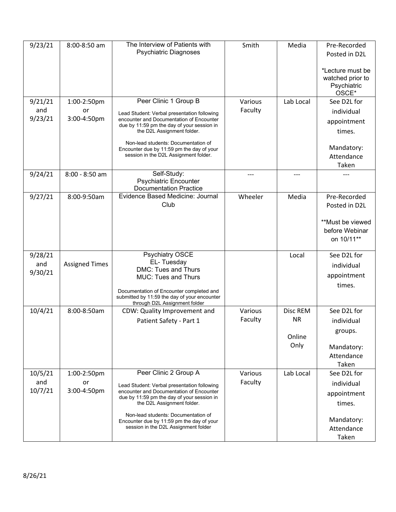| 9/23/21        | 8:00-8:50 am          | The Interview of Patients with<br><b>Psychiatric Diagnoses</b>                                                            | Smith              | Media     | Pre-Recorded<br>Posted in D2L                                |
|----------------|-----------------------|---------------------------------------------------------------------------------------------------------------------------|--------------------|-----------|--------------------------------------------------------------|
|                |                       |                                                                                                                           |                    |           | *Lecture must be<br>watched prior to<br>Psychiatric<br>OSCE* |
| 9/21/21        | 1:00-2:50pm           | Peer Clinic 1 Group B                                                                                                     | Various            | Lab Local | See D2L for                                                  |
| and            | or                    | Lead Student: Verbal presentation following                                                                               | Faculty            |           | individual                                                   |
| 9/23/21        | 3:00-4:50pm           | encounter and Documentation of Encounter<br>due by 11:59 pm the day of your session in                                    |                    |           | appointment                                                  |
|                |                       | the D2L Assignment folder.                                                                                                |                    |           | times.                                                       |
|                |                       | Non-lead students: Documentation of<br>Encounter due by 11:59 pm the day of your<br>session in the D2L Assignment folder. |                    |           | Mandatory:<br>Attendance<br>Taken                            |
| 9/24/21        | 8:00 - 8:50 am        | Self-Study:                                                                                                               |                    |           |                                                              |
|                |                       | <b>Psychiatric Encounter</b><br><b>Documentation Practice</b>                                                             |                    |           |                                                              |
| 9/27/21        | 8:00-9:50am           | Evidence Based Medicine: Journal                                                                                          | Wheeler            | Media     | Pre-Recorded                                                 |
|                |                       | Club                                                                                                                      |                    |           | Posted in D2L                                                |
|                |                       |                                                                                                                           |                    |           | **Must be viewed                                             |
|                |                       |                                                                                                                           |                    |           | before Webinar                                               |
|                |                       |                                                                                                                           |                    |           | on 10/11**                                                   |
| 9/28/21        |                       | <b>Psychiatry OSCE</b>                                                                                                    |                    | Local     | See D2L for                                                  |
| and            | <b>Assigned Times</b> | EL-Tuesday                                                                                                                |                    |           | individual                                                   |
| 9/30/21        |                       | DMC: Tues and Thurs<br><b>MUC: Tues and Thurs</b>                                                                         |                    |           | appointment                                                  |
|                |                       |                                                                                                                           |                    |           | times.                                                       |
|                |                       | Documentation of Encounter completed and<br>submitted by 11:59 the day of your encounter<br>through D2L Assignment folder |                    |           |                                                              |
| 10/4/21        | 8:00-8:50am           | CDW: Quality Improvement and                                                                                              | Various            | Disc REM  | See D2L for                                                  |
|                |                       | Patient Safety - Part 1                                                                                                   | Faculty            | <b>NR</b> | individual                                                   |
|                |                       |                                                                                                                           |                    | Online    | groups.                                                      |
|                |                       |                                                                                                                           |                    | Only      | Mandatory:                                                   |
|                |                       |                                                                                                                           |                    |           | Attendance                                                   |
|                |                       |                                                                                                                           |                    |           | Taken                                                        |
| 10/5/21<br>and | 1:00-2:50pm<br>or     | Peer Clinic 2 Group A                                                                                                     | Various<br>Faculty | Lab Local | See D2L for                                                  |
| 10/7/21        | 3:00-4:50pm           | Lead Student: Verbal presentation following<br>encounter and Documentation of Encounter                                   |                    |           | individual                                                   |
|                |                       | due by 11:59 pm the day of your session in                                                                                |                    |           | appointment                                                  |
|                |                       | the D2L Assignment folder.                                                                                                |                    |           | times.                                                       |
|                |                       | Non-lead students: Documentation of<br>Encounter due by 11:59 pm the day of your                                          |                    |           | Mandatory:                                                   |
|                |                       | session in the D2L Assignment folder                                                                                      |                    |           | Attendance                                                   |
|                |                       |                                                                                                                           |                    |           | Taken                                                        |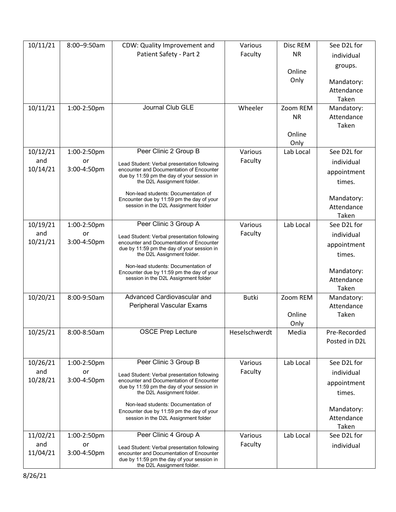| 10/11/21 | 8:00-9:50am | CDW: Quality Improvement and                                                           | Various       | Disc REM      | See D2L for   |
|----------|-------------|----------------------------------------------------------------------------------------|---------------|---------------|---------------|
|          |             | Patient Safety - Part 2                                                                | Faculty       | <b>NR</b>     | individual    |
|          |             |                                                                                        |               |               | groups.       |
|          |             |                                                                                        |               | Online        |               |
|          |             |                                                                                        |               | Only          | Mandatory:    |
|          |             |                                                                                        |               |               | Attendance    |
|          |             |                                                                                        |               |               | Taken         |
| 10/11/21 | 1:00-2:50pm | Journal Club GLE                                                                       | Wheeler       | Zoom REM      | Mandatory:    |
|          |             |                                                                                        |               | <b>NR</b>     | Attendance    |
|          |             |                                                                                        |               |               | Taken         |
|          |             |                                                                                        |               | Online        |               |
|          |             |                                                                                        |               | Only          |               |
| 10/12/21 | 1:00-2:50pm | Peer Clinic 2 Group B                                                                  | Various       | Lab Local     | See D2L for   |
| and      | or          | Lead Student: Verbal presentation following                                            | Faculty       |               | individual    |
| 10/14/21 | 3:00-4:50pm | encounter and Documentation of Encounter<br>due by 11:59 pm the day of your session in |               |               | appointment   |
|          |             | the D2L Assignment folder.                                                             |               |               | times.        |
|          |             | Non-lead students: Documentation of                                                    |               |               |               |
|          |             | Encounter due by 11:59 pm the day of your                                              |               |               | Mandatory:    |
|          |             | session in the D2L Assignment folder                                                   |               |               | Attendance    |
|          |             |                                                                                        |               |               | Taken         |
| 10/19/21 | 1:00-2:50pm | Peer Clinic 3 Group A                                                                  | Various       | Lab Local     | See D2L for   |
| and      | or          | Lead Student: Verbal presentation following                                            | Faculty       |               | individual    |
| 10/21/21 | 3:00-4:50pm | encounter and Documentation of Encounter<br>due by 11:59 pm the day of your session in |               |               | appointment   |
|          |             | the D2L Assignment folder.                                                             |               |               | times.        |
|          |             | Non-lead students: Documentation of                                                    |               |               |               |
|          |             | Encounter due by 11:59 pm the day of your                                              |               |               | Mandatory:    |
|          |             | session in the D2L Assignment folder                                                   |               |               | Attendance    |
|          |             |                                                                                        |               |               | Taken         |
| 10/20/21 | 8:00-9:50am | Advanced Cardiovascular and                                                            | <b>Butki</b>  | Zoom REM      | Mandatory:    |
|          |             | Peripheral Vascular Exams                                                              |               |               | Attendance    |
|          |             |                                                                                        |               | Online        | Taken         |
|          | 8:00-8:50am | <b>OSCE Prep Lecture</b>                                                               | Heselschwerdt | Only<br>Media | Pre-Recorded  |
| 10/25/21 |             |                                                                                        |               |               | Posted in D2L |
|          |             |                                                                                        |               |               |               |
|          |             |                                                                                        |               |               |               |
| 10/26/21 | 1:00-2:50pm | Peer Clinic 3 Group B                                                                  | Various       | Lab Local     | See D2L for   |
| and      | or          | Lead Student: Verbal presentation following                                            | Faculty       |               | individual    |
| 10/28/21 | 3:00-4:50pm | encounter and Documentation of Encounter<br>due by 11:59 pm the day of your session in |               |               | appointment   |
|          |             | the D2L Assignment folder.                                                             |               |               | times.        |
|          |             | Non-lead students: Documentation of                                                    |               |               |               |
|          |             | Encounter due by 11:59 pm the day of your                                              |               |               | Mandatory:    |
|          |             | session in the D2L Assignment folder                                                   |               |               | Attendance    |
|          |             |                                                                                        |               |               | Taken         |
| 11/02/21 | 1:00-2:50pm | Peer Clinic 4 Group A                                                                  | Various       | Lab Local     | See D2L for   |
| and      | or          | Lead Student: Verbal presentation following                                            | Faculty       |               | individual    |
| 11/04/21 | 3:00-4:50pm | encounter and Documentation of Encounter<br>due by 11:59 pm the day of your session in |               |               |               |
|          |             | the D2L Assignment folder.                                                             |               |               |               |